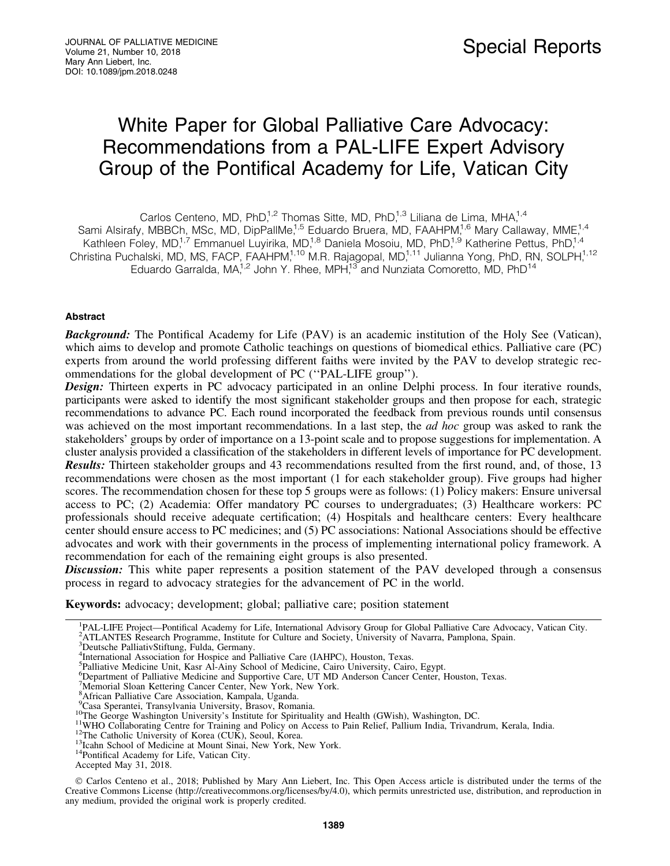# White Paper for Global Palliative Care Advocacy: Recommendations from a PAL-LIFE Expert Advisory Group of the Pontifical Academy for Life, Vatican City

Carlos Centeno, MD, PhD,<sup>1,2</sup> Thomas Sitte, MD, PhD,<sup>1,3</sup> Liliana de Lima, MHA,<sup>1,4</sup>

Sami Alsirafy, MBBCh, MSc, MD, DipPallMe,<sup>1,5</sup> Eduardo Bruera, MD, FAAHPM,<sup>1,6</sup> Mary Callaway, MME,<sup>1,4</sup>

Kathleen Foley, MD,<sup>1,7</sup> Emmanuel Luyirika, MD,<sup>1,8</sup> Daniela Mosoiu, MD, PhD,<sup>1,9</sup> Katherine Pettus, PhD,<sup>1,4</sup>

Christina Puchalski, MD, MS, FACP, FAAHPM,<sup>1,10</sup> M.R. Rajagopal, MD,<sup>1,11</sup> Julianna Yong, PhD, RN, SOLPH,<sup>1,12</sup>

Eduardo Garralda, MA,<sup>1,2</sup> John Y. Rhee, MPH,<sup>13</sup> and Nunziata Comoretto, MD, PhD<sup>14</sup>

# Abstract

**Background:** The Pontifical Academy for Life (PAV) is an academic institution of the Holy See (Vatican), which aims to develop and promote Catholic teachings on questions of biomedical ethics. Palliative care (PC) experts from around the world professing different faiths were invited by the PAV to develop strategic recommendations for the global development of PC (''PAL-LIFE group'').

**Design:** Thirteen experts in PC advocacy participated in an online Delphi process. In four iterative rounds, participants were asked to identify the most significant stakeholder groups and then propose for each, strategic recommendations to advance PC. Each round incorporated the feedback from previous rounds until consensus was achieved on the most important recommendations. In a last step, the *ad hoc* group was asked to rank the stakeholders' groups by order of importance on a 13-point scale and to propose suggestions for implementation. A cluster analysis provided a classification of the stakeholders in different levels of importance for PC development. Results: Thirteen stakeholder groups and 43 recommendations resulted from the first round, and, of those, 13 recommendations were chosen as the most important (1 for each stakeholder group). Five groups had higher scores. The recommendation chosen for these top 5 groups were as follows: (1) Policy makers: Ensure universal access to PC; (2) Academia: Offer mandatory PC courses to undergraduates; (3) Healthcare workers: PC professionals should receive adequate certification; (4) Hospitals and healthcare centers: Every healthcare center should ensure access to PC medicines; and (5) PC associations: National Associations should be effective advocates and work with their governments in the process of implementing international policy framework. A recommendation for each of the remaining eight groups is also presented.

**Discussion:** This white paper represents a position statement of the PAV developed through a consensus process in regard to advocacy strategies for the advancement of PC in the world.

Keywords: advocacy; development; global; palliative care; position statement

<sup>2</sup>ATLANTES Research Programme, Institute for Culture and Society, University of Navarra, Pamplona, Spain.

<sup>3</sup>Deutsche PalliativStiftung, Fulda, Germany.

<sup>8</sup> African Palliative Care Association, Kampala, Uganda.

<sup>9</sup>Casa Sperantei, Transylvania University, Brasov, Romania.

Accepted May 31, 2018.

- Carlos Centeno et al., 2018; Published by Mary Ann Liebert, Inc. This Open Access article is distributed under the terms of the Creative Commons License (http://creativecommons.org/licenses/by/4.0), which permits unrestricted use, distribution, and reproduction in any medium, provided the original work is properly credited.

<sup>&</sup>lt;sup>1</sup>PAL-LIFE Project—Pontifical Academy for Life, International Advisory Group for Global Palliative Care Advocacy, Vatican City.

<sup>&</sup>lt;sup>4</sup>International Association for Hospice and Palliative Care (IAHPC), Houston, Texas.

<sup>5</sup> Palliative Medicine Unit, Kasr Al-Ainy School of Medicine, Cairo University, Cairo, Egypt.

<sup>6</sup>Department of Palliative Medicine and Supportive Care, UT MD Anderson Cancer Center, Houston, Texas.

<sup>&</sup>lt;sup>7</sup>Memorial Sloan Kettering Cancer Center, New York, New York.

<sup>&</sup>lt;sup>10</sup>The George Washington University's Institute for Spirituality and Health (GWish), Washington, DC.

<sup>&</sup>lt;sup>11</sup>WHO Collaborating Centre for Training and Policy on Access to Pain Relief, Pallium India, Trivandrum, Kerala, India.

<sup>&</sup>lt;sup>12</sup>The Catholic University of Korea (CUK), Seoul, Korea.

<sup>&</sup>lt;sup>13</sup>Icahn School of Medicine at Mount Sinai, New York, New York.

<sup>&</sup>lt;sup>14</sup>Pontifical Academy for Life, Vatican City.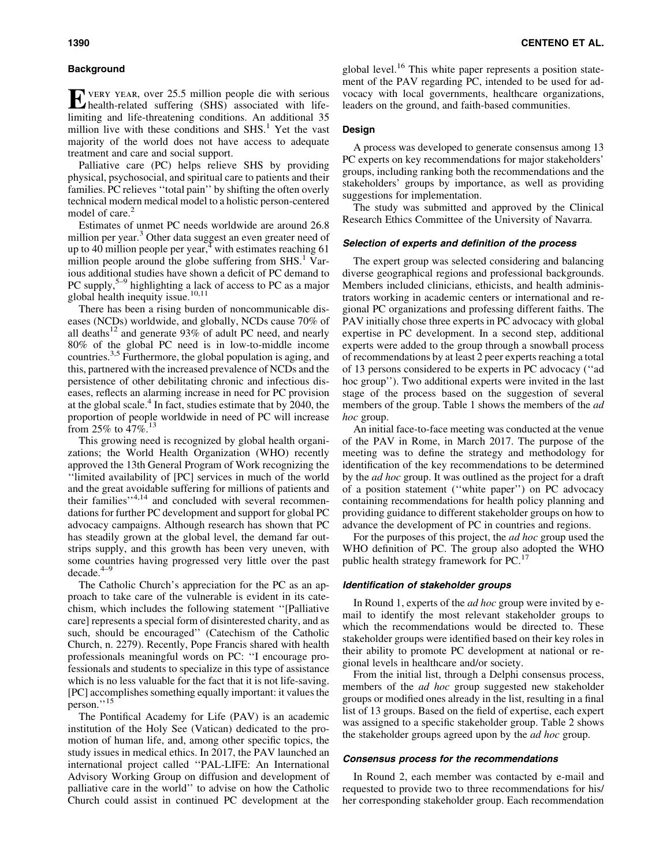## **Background**

**EVERY YEAR, over 25.5 million people die with serious**<br>health-related suffering (SHS) associated with lifevery year, over 25.5 million people die with serious limiting and life-threatening conditions. An additional 35 million live with these conditions and SHS.<sup>1</sup> Yet the vast majority of the world does not have access to adequate treatment and care and social support.

Palliative care (PC) helps relieve SHS by providing physical, psychosocial, and spiritual care to patients and their families. PC relieves ''total pain'' by shifting the often overly technical modern medical model to a holistic person-centered model of care.<sup>2</sup>

Estimates of unmet PC needs worldwide are around 26.8 million per year.<sup>3</sup> Other data suggest an even greater need of up to 40 million people per year,  $\frac{4}{3}$  with estimates reaching 61 million people around the globe suffering from  $SHS$ .<sup>1</sup> Various additional studies have shown a deficit of PC demand to PC supply,  $5-9$  highlighting a lack of access to PC as a major global health inequity issue.<sup>10,11</sup>

There has been a rising burden of noncommunicable diseases (NCDs) worldwide, and globally, NCDs cause 70% of all deaths<sup>12</sup> and generate 93% of adult PC need, and nearly 80% of the global PC need is in low-to-middle income countries.3,5 Furthermore, the global population is aging, and this, partnered with the increased prevalence of NCDs and the persistence of other debilitating chronic and infectious diseases, reflects an alarming increase in need for PC provision at the global scale.<sup>4</sup> In fact, studies estimate that by 2040, the proportion of people worldwide in need of PC will increase from 25% to  $47\%$ .<sup>13</sup>

This growing need is recognized by global health organizations; the World Health Organization (WHO) recently approved the 13th General Program of Work recognizing the ''limited availability of [PC] services in much of the world and the great avoidable suffering for millions of patients and their families<sup>"4,14</sup> and concluded with several recommendations for further PC development and support for global PC advocacy campaigns. Although research has shown that PC has steadily grown at the global level, the demand far outstrips supply, and this growth has been very uneven, with some countries having progressed very little over the past decade.<sup>4–9</sup>

The Catholic Church's appreciation for the PC as an approach to take care of the vulnerable is evident in its catechism, which includes the following statement ''[Palliative care] represents a special form of disinterested charity, and as such, should be encouraged'' (Catechism of the Catholic Church, n. 2279). Recently, Pope Francis shared with health professionals meaningful words on PC: ''I encourage professionals and students to specialize in this type of assistance which is no less valuable for the fact that it is not life-saving. [PC] accomplishes something equally important: it values the person."<sup>15</sup>

The Pontifical Academy for Life (PAV) is an academic institution of the Holy See (Vatican) dedicated to the promotion of human life, and, among other specific topics, the study issues in medical ethics. In 2017, the PAV launched an international project called ''PAL-LIFE: An International Advisory Working Group on diffusion and development of palliative care in the world'' to advise on how the Catholic Church could assist in continued PC development at the global level.<sup>16</sup> This white paper represents a position statement of the PAV regarding PC, intended to be used for advocacy with local governments, healthcare organizations, leaders on the ground, and faith-based communities.

## Design

A process was developed to generate consensus among 13 PC experts on key recommendations for major stakeholders' groups, including ranking both the recommendations and the stakeholders' groups by importance, as well as providing suggestions for implementation.

The study was submitted and approved by the Clinical Research Ethics Committee of the University of Navarra.

#### Selection of experts and definition of the process

The expert group was selected considering and balancing diverse geographical regions and professional backgrounds. Members included clinicians, ethicists, and health administrators working in academic centers or international and regional PC organizations and professing different faiths. The PAV initially chose three experts in PC advocacy with global expertise in PC development. In a second step, additional experts were added to the group through a snowball process of recommendations by at least 2 peer experts reaching a total of 13 persons considered to be experts in PC advocacy (''ad hoc group''). Two additional experts were invited in the last stage of the process based on the suggestion of several members of the group. Table 1 shows the members of the *ad hoc* group.

An initial face-to-face meeting was conducted at the venue of the PAV in Rome, in March 2017. The purpose of the meeting was to define the strategy and methodology for identification of the key recommendations to be determined by the *ad hoc* group. It was outlined as the project for a draft of a position statement (''white paper'') on PC advocacy containing recommendations for health policy planning and providing guidance to different stakeholder groups on how to advance the development of PC in countries and regions.

For the purposes of this project, the *ad hoc* group used the WHO definition of PC. The group also adopted the WHO public health strategy framework for PC.

### Identification of stakeholder groups

In Round 1, experts of the *ad hoc* group were invited by email to identify the most relevant stakeholder groups to which the recommendations would be directed to. These stakeholder groups were identified based on their key roles in their ability to promote PC development at national or regional levels in healthcare and/or society.

From the initial list, through a Delphi consensus process, members of the *ad hoc* group suggested new stakeholder groups or modified ones already in the list, resulting in a final list of 13 groups. Based on the field of expertise, each expert was assigned to a specific stakeholder group. Table 2 shows the stakeholder groups agreed upon by the *ad hoc* group.

## Consensus process for the recommendations

In Round 2, each member was contacted by e-mail and requested to provide two to three recommendations for his/ her corresponding stakeholder group. Each recommendation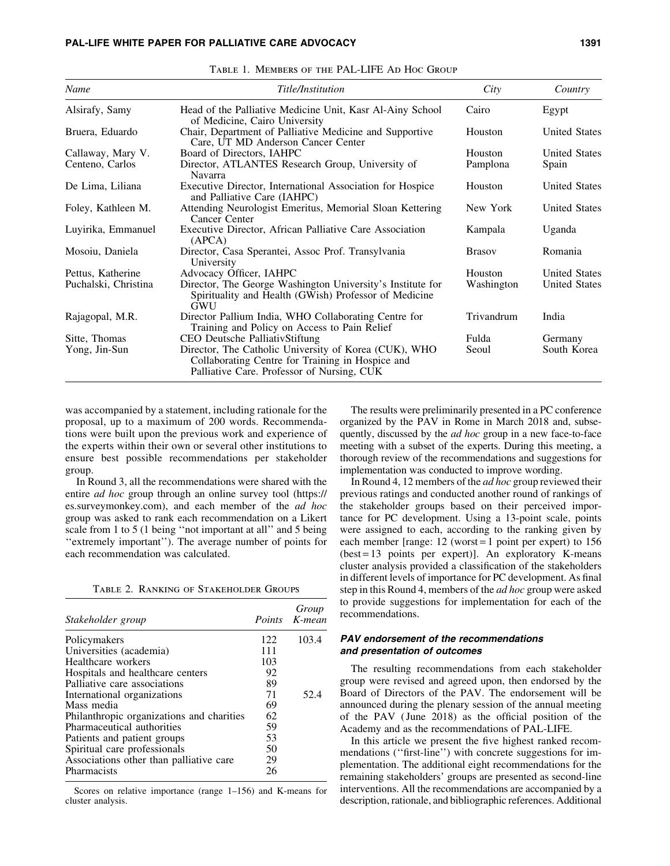## PAL-LIFE WHITE PAPER FOR PALLIATIVE CARE ADVOCACY **1391** 1391

| Name                 | Title/Institution                                                                                                                                       | City          | Country              |
|----------------------|---------------------------------------------------------------------------------------------------------------------------------------------------------|---------------|----------------------|
| Alsirafy, Samy       | Head of the Palliative Medicine Unit, Kasr Al-Ainy School<br>of Medicine, Cairo University                                                              | Cairo         | Egypt                |
| Bruera, Eduardo      | Chair, Department of Palliative Medicine and Supportive<br>Care, UT MD Anderson Cancer Center                                                           | Houston       | <b>United States</b> |
| Callaway, Mary V.    | Board of Directors, IAHPC                                                                                                                               | Houston       | <b>United States</b> |
| Centeno, Carlos      | Director, ATLANTES Research Group, University of<br>Navarra                                                                                             | Pamplona      | Spain                |
| De Lima, Liliana     | Executive Director, International Association for Hospice<br>and Palliative Care (IAHPC)                                                                | Houston       | <b>United States</b> |
| Foley, Kathleen M.   | Attending Neurologist Emeritus, Memorial Sloan Kettering<br>Cancer Center                                                                               | New York      | <b>United States</b> |
| Luyirika, Emmanuel   | Executive Director, African Palliative Care Association<br>(APCA)                                                                                       | Kampala       | Uganda               |
| Mosoiu, Daniela      | Director, Casa Sperantei, Assoc Prof. Transylvania<br>University                                                                                        | <b>Brasov</b> | Romania              |
| Pettus, Katherine    | Advocacy Officer, IAHPC                                                                                                                                 | Houston       | <b>United States</b> |
| Puchalski, Christina | Director, The George Washington University's Institute for<br>Spirituality and Health (GWish) Professor of Medicine<br><b>GWU</b>                       | Washington    | <b>United States</b> |
| Rajagopal, M.R.      | Director Pallium India, WHO Collaborating Centre for<br>Training and Policy on Access to Pain Relief                                                    | Trivandrum    | India                |
| Sitte, Thomas        | CEO Deutsche PalliativStiftung                                                                                                                          | Fulda         | Germany              |
| Yong, Jin-Sun        | Director, The Catholic University of Korea (CUK), WHO<br>Collaborating Centre for Training in Hospice and<br>Palliative Care. Professor of Nursing, CUK | Seoul         | South Korea          |

Table 1. Members of the PAL-LIFE Ad Hoc Group

was accompanied by a statement, including rationale for the proposal, up to a maximum of 200 words. Recommendations were built upon the previous work and experience of the experts within their own or several other institutions to ensure best possible recommendations per stakeholder group.

In Round 3, all the recommendations were shared with the entire *ad hoc* group through an online survey tool (https:// es.surveymonkey.com), and each member of the *ad hoc* group was asked to rank each recommendation on a Likert scale from 1 to 5 (1 being ''not important at all'' and 5 being ''extremely important''). The average number of points for each recommendation was calculated.

Table 2. Ranking of Stakeholder Groups

| Stakeholder group                         |     | Group<br>Points K-mean |
|-------------------------------------------|-----|------------------------|
| Policymakers                              | 122 | 103.4                  |
| Universities (academia)                   | 111 |                        |
| Healthcare workers                        | 103 |                        |
| Hospitals and healthcare centers          | 92  |                        |
| Palliative care associations              | 89  |                        |
| International organizations               | 71  | 52.4                   |
| Mass media                                | 69  |                        |
| Philanthropic organizations and charities | 62  |                        |
| Pharmaceutical authorities                | 59  |                        |
| Patients and patient groups               | 53  |                        |
| Spiritual care professionals              | 50  |                        |
| Associations other than palliative care   | 29  |                        |
| Pharmacists                               | 26  |                        |

Scores on relative importance (range 1–156) and K-means for cluster analysis.

The results were preliminarily presented in a PC conference organized by the PAV in Rome in March 2018 and, subsequently, discussed by the *ad hoc* group in a new face-to-face meeting with a subset of the experts. During this meeting, a thorough review of the recommendations and suggestions for implementation was conducted to improve wording.

In Round 4, 12 members of the *ad hoc* group reviewed their previous ratings and conducted another round of rankings of the stakeholder groups based on their perceived importance for PC development. Using a 13-point scale, points were assigned to each, according to the ranking given by each member [range:  $12$  (worst = 1 point per expert) to  $156$  $(best = 13$  points per expert). An exploratory K-means cluster analysis provided a classification of the stakeholders in different levels of importance for PC development. As final step in this Round 4, members of the *ad hoc* group were asked to provide suggestions for implementation for each of the recommendations.

# PAV endorsement of the recommendations and presentation of outcomes

The resulting recommendations from each stakeholder group were revised and agreed upon, then endorsed by the Board of Directors of the PAV. The endorsement will be announced during the plenary session of the annual meeting of the PAV ( June 2018) as the official position of the Academy and as the recommendations of PAL-LIFE.

In this article we present the five highest ranked recommendations ("first-line") with concrete suggestions for implementation. The additional eight recommendations for the remaining stakeholders' groups are presented as second-line interventions. All the recommendations are accompanied by a description, rationale, and bibliographic references. Additional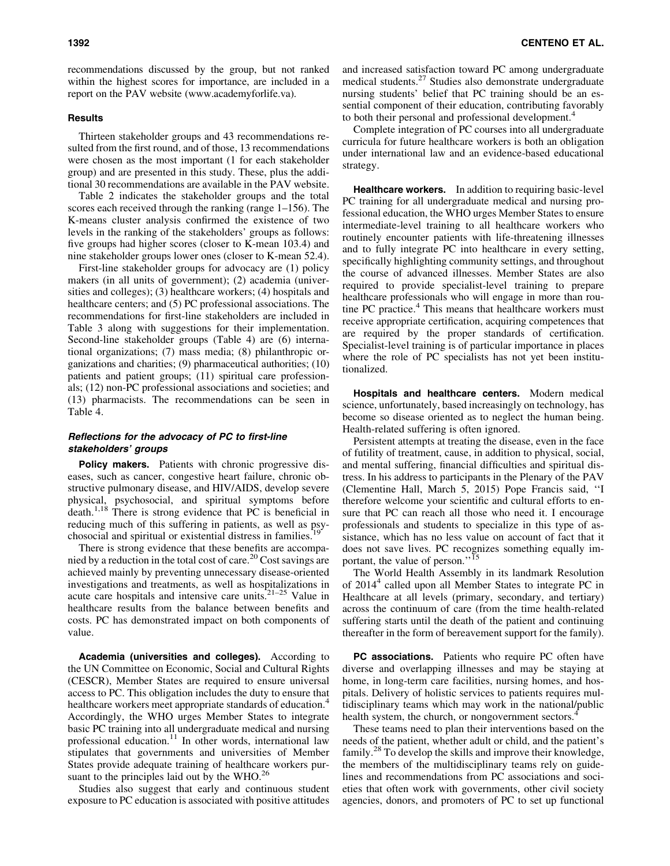recommendations discussed by the group, but not ranked within the highest scores for importance, are included in a report on the PAV website (www.academyforlife.va).

# Results

Thirteen stakeholder groups and 43 recommendations resulted from the first round, and of those, 13 recommendations were chosen as the most important (1 for each stakeholder group) and are presented in this study. These, plus the additional 30 recommendations are available in the PAV website.

Table 2 indicates the stakeholder groups and the total scores each received through the ranking (range 1–156). The K-means cluster analysis confirmed the existence of two levels in the ranking of the stakeholders' groups as follows: five groups had higher scores (closer to K-mean 103.4) and nine stakeholder groups lower ones (closer to K-mean 52.4).

First-line stakeholder groups for advocacy are (1) policy makers (in all units of government); (2) academia (universities and colleges); (3) healthcare workers; (4) hospitals and healthcare centers; and (5) PC professional associations. The recommendations for first-line stakeholders are included in Table 3 along with suggestions for their implementation. Second-line stakeholder groups (Table 4) are (6) international organizations; (7) mass media; (8) philanthropic organizations and charities; (9) pharmaceutical authorities; (10) patients and patient groups; (11) spiritual care professionals; (12) non-PC professional associations and societies; and (13) pharmacists. The recommendations can be seen in Table 4.

## Reflections for the advocacy of PC to first-line stakeholders' groups

Policy makers. Patients with chronic progressive diseases, such as cancer, congestive heart failure, chronic obstructive pulmonary disease, and HIV/AIDS, develop severe physical, psychosocial, and spiritual symptoms before death.<sup>1,18</sup> There is strong evidence that PC is beneficial in reducing much of this suffering in patients, as well as psychosocial and spiritual or existential distress in families.

There is strong evidence that these benefits are accompanied by a reduction in the total cost of care.<sup>20</sup> Cost savings are achieved mainly by preventing unnecessary disease-oriented investigations and treatments, as well as hospitalizations in acute care hospitals and intensive care units.<sup>21–25</sup> Value in healthcare results from the balance between benefits and costs. PC has demonstrated impact on both components of value.

Academia (universities and colleges). According to the UN Committee on Economic, Social and Cultural Rights (CESCR), Member States are required to ensure universal access to PC. This obligation includes the duty to ensure that healthcare workers meet appropriate standards of education.<sup>4</sup> Accordingly, the WHO urges Member States to integrate basic PC training into all undergraduate medical and nursing professional education.<sup>11</sup> In other words, international law stipulates that governments and universities of Member States provide adequate training of healthcare workers pursuant to the principles laid out by the WHO.<sup>26</sup>

Studies also suggest that early and continuous student exposure to PC education is associated with positive attitudes and increased satisfaction toward PC among undergraduate medical students.<sup>27</sup> Studies also demonstrate undergraduate nursing students' belief that PC training should be an essential component of their education, contributing favorably to both their personal and professional development.<sup>4</sup>

Complete integration of PC courses into all undergraduate curricula for future healthcare workers is both an obligation under international law and an evidence-based educational strategy.

Healthcare workers. In addition to requiring basic-level PC training for all undergraduate medical and nursing professional education, the WHO urges Member States to ensure intermediate-level training to all healthcare workers who routinely encounter patients with life-threatening illnesses and to fully integrate PC into healthcare in every setting, specifically highlighting community settings, and throughout the course of advanced illnesses. Member States are also required to provide specialist-level training to prepare healthcare professionals who will engage in more than routine PC practice.<sup>4</sup> This means that healthcare workers must receive appropriate certification, acquiring competences that are required by the proper standards of certification. Specialist-level training is of particular importance in places where the role of PC specialists has not yet been institutionalized.

Hospitals and healthcare centers. Modern medical science, unfortunately, based increasingly on technology, has become so disease oriented as to neglect the human being. Health-related suffering is often ignored.

Persistent attempts at treating the disease, even in the face of futility of treatment, cause, in addition to physical, social, and mental suffering, financial difficulties and spiritual distress. In his address to participants in the Plenary of the PAV (Clementine Hall, March 5, 2015) Pope Francis said, ''I therefore welcome your scientific and cultural efforts to ensure that PC can reach all those who need it. I encourage professionals and students to specialize in this type of assistance, which has no less value on account of fact that it does not save lives. PC recognizes something equally important, the value of person."<sup>15</sup>

The World Health Assembly in its landmark Resolution of 2014<sup>4</sup> called upon all Member States to integrate PC in Healthcare at all levels (primary, secondary, and tertiary) across the continuum of care (from the time health-related suffering starts until the death of the patient and continuing thereafter in the form of bereavement support for the family).

PC associations. Patients who require PC often have diverse and overlapping illnesses and may be staying at home, in long-term care facilities, nursing homes, and hospitals. Delivery of holistic services to patients requires multidisciplinary teams which may work in the national/public health system, the church, or nongovernment sectors.<sup>4</sup>

These teams need to plan their interventions based on the needs of the patient, whether adult or child, and the patient's family.<sup>28</sup> To develop the skills and improve their knowledge, the members of the multidisciplinary teams rely on guidelines and recommendations from PC associations and societies that often work with governments, other civil society agencies, donors, and promoters of PC to set up functional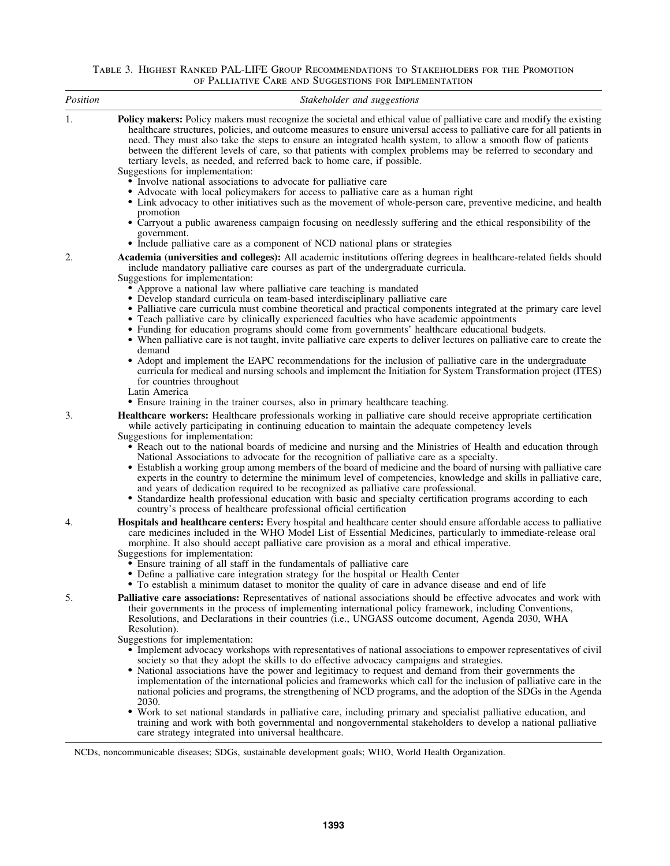# Table 3. Highest Ranked PAL-LIFE Group Recommendations to Stakeholders for the Promotion of Palliative Care and Suggestions for Implementation

| Position | Stakeholder and suggestions                                                                                                                                                                                                                                                                                                                                                                                                                                                                                                                                                                                                                                                                                                    |
|----------|--------------------------------------------------------------------------------------------------------------------------------------------------------------------------------------------------------------------------------------------------------------------------------------------------------------------------------------------------------------------------------------------------------------------------------------------------------------------------------------------------------------------------------------------------------------------------------------------------------------------------------------------------------------------------------------------------------------------------------|
| 1.       | Policy makers: Policy makers must recognize the societal and ethical value of palliative care and modify the existing<br>healthcare structures, policies, and outcome measures to ensure universal access to palliative care for all patients in<br>need. They must also take the steps to ensure an integrated health system, to allow a smooth flow of patients<br>between the different levels of care, so that patients with complex problems may be referred to secondary and<br>tertiary levels, as needed, and referred back to home care, if possible.                                                                                                                                                                 |
|          | Suggestions for implementation:<br>• Involve national associations to advocate for palliative care<br>• Advocate with local policymakers for access to palliative care as a human right<br>• Link advocacy to other initiatives such as the movement of whole-person care, preventive medicine, and health<br>promotion                                                                                                                                                                                                                                                                                                                                                                                                        |
|          | • Carryout a public awareness campaign focusing on needlessly suffering and the ethical responsibility of the<br>government.                                                                                                                                                                                                                                                                                                                                                                                                                                                                                                                                                                                                   |
|          | • Include palliative care as a component of NCD national plans or strategies                                                                                                                                                                                                                                                                                                                                                                                                                                                                                                                                                                                                                                                   |
| 2.       | Academia (universities and colleges): All academic institutions offering degrees in healthcare-related fields should<br>include mandatory palliative care courses as part of the undergraduate curricula.                                                                                                                                                                                                                                                                                                                                                                                                                                                                                                                      |
|          | Suggestions for implementation:<br>• Approve a national law where palliative care teaching is mandated                                                                                                                                                                                                                                                                                                                                                                                                                                                                                                                                                                                                                         |
|          | • Develop standard curricula on team-based interdisciplinary palliative care                                                                                                                                                                                                                                                                                                                                                                                                                                                                                                                                                                                                                                                   |
|          | • Palliative care curricula must combine theoretical and practical components integrated at the primary care level<br>• Teach palliative care by clinically experienced faculties who have academic appointments<br>• Funding for education programs should come from governments' healthcare educational budgets.<br>• When palliative care is not taught, invite palliative care experts to deliver lectures on palliative care to create the                                                                                                                                                                                                                                                                                |
|          | demand<br>• Adopt and implement the EAPC recommendations for the inclusion of palliative care in the undergraduate<br>curricula for medical and nursing schools and implement the Initiation for System Transformation project (ITES)<br>for countries throughout<br>Latin America                                                                                                                                                                                                                                                                                                                                                                                                                                             |
|          | • Ensure training in the trainer courses, also in primary healthcare teaching.                                                                                                                                                                                                                                                                                                                                                                                                                                                                                                                                                                                                                                                 |
| 3.       | Healthcare workers: Healthcare professionals working in palliative care should receive appropriate certification<br>while actively participating in continuing education to maintain the adequate competency levels<br>Suggestions for implementation:                                                                                                                                                                                                                                                                                                                                                                                                                                                                         |
|          | • Reach out to the national boards of medicine and nursing and the Ministries of Health and education through<br>National Associations to advocate for the recognition of palliative care as a specialty.<br>• Establish a working group among members of the board of medicine and the board of nursing with palliative care<br>experts in the country to determine the minimum level of competencies, knowledge and skills in palliative care,<br>and years of dedication required to be recognized as palliative care professional.<br>• Standardize health professional education with basic and specialty certification programs according to each<br>country's process of healthcare professional official certification |
| 4.       | Hospitals and healthcare centers: Every hospital and healthcare center should ensure affordable access to palliative<br>care medicines included in the WHO Model List of Essential Medicines, particularly to immediate-release oral<br>morphine. It also should accept palliative care provision as a moral and ethical imperative.                                                                                                                                                                                                                                                                                                                                                                                           |
|          | Suggestions for implementation:<br>• Ensure training of all staff in the fundamentals of palliative care<br>• Define a palliative care integration strategy for the hospital or Health Center                                                                                                                                                                                                                                                                                                                                                                                                                                                                                                                                  |
|          | • To establish a minimum dataset to monitor the quality of care in advance disease and end of life                                                                                                                                                                                                                                                                                                                                                                                                                                                                                                                                                                                                                             |
| 5.       | Palliative care associations: Representatives of national associations should be effective advocates and work with<br>their governments in the process of implementing international policy framework, including Conventions,<br>Resolutions, and Declarations in their countries (i.e., UNGASS outcome document, Agenda 2030, WHA<br>Resolution).                                                                                                                                                                                                                                                                                                                                                                             |
|          | Suggestions for implementation:<br>• Implement advocacy workshops with representatives of national associations to empower representatives of civil<br>society so that they adopt the skills to do effective advocacy campaigns and strategies.<br>• National associations have the power and legitimacy to request and demand from their governments the<br>implementation of the international policies and frameworks which call for the inclusion of palliative care in the<br>national policies and programs, the strengthening of NCD programs, and the adoption of the SDGs in the Agenda<br>2030.                                                                                                                      |
|          | • Work to set national standards in palliative care, including primary and specialist palliative education, and<br>training and work with both governmental and nongovernmental stakeholders to develop a national palliative<br>care strategy integrated into universal healthcare.                                                                                                                                                                                                                                                                                                                                                                                                                                           |

NCDs, noncommunicable diseases; SDGs, sustainable development goals; WHO, World Health Organization.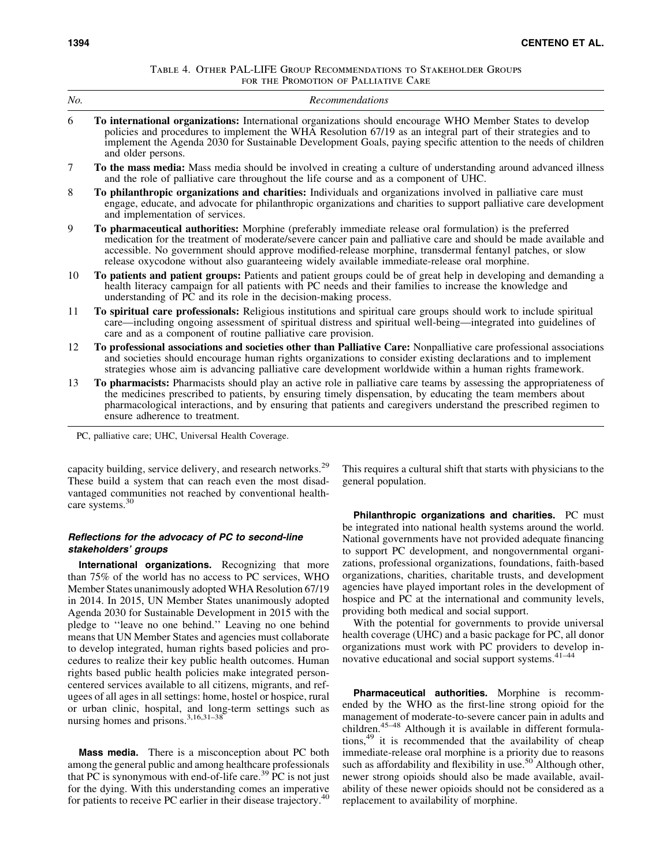### Table 4. Other PAL-LIFE Group Recommendations to Stakeholder Groups for the Promotion of Palliative Care

| To international organizations: International organizations should encourage WHO Member States to develop<br>policies and procedures to implement the WHA Resolution 67/19 as an integral part of their strategies and to<br>implement the Agenda 2030 for Sustainable Development Goals, paying specific attention to the needs of children                                                                                               |
|--------------------------------------------------------------------------------------------------------------------------------------------------------------------------------------------------------------------------------------------------------------------------------------------------------------------------------------------------------------------------------------------------------------------------------------------|
| and older persons.                                                                                                                                                                                                                                                                                                                                                                                                                         |
| To the mass media: Mass media should be involved in creating a culture of understanding around advanced illness<br>and the role of palliative care throughout the life course and as a component of UHC.                                                                                                                                                                                                                                   |
| To philanthropic organizations and charities: Individuals and organizations involved in palliative care must<br>engage, educate, and advocate for philanthropic organizations and charities to support palliative care development<br>and implementation of services.                                                                                                                                                                      |
| To pharmaceutical authorities: Morphine (preferably immediate release oral formulation) is the preferred<br>medication for the treatment of moderate/severe cancer pain and palliative care and should be made available and<br>accessible. No government should approve modified-release morphine, transdermal fentanyl patches, or slow<br>release oxycodone without also guaranteeing widely available immediate-release oral morphine. |
| To patients and patient groups: Patients and patient groups could be of great help in developing and demanding a<br>health literacy campaign for all patients with PC needs and their families to increase the knowledge and<br>understanding of PC and its role in the decision-making process.                                                                                                                                           |
| To spiritual care professionals: Religious institutions and spiritual care groups should work to include spiritual<br>care—including ongoing assessment of spiritual distress and spiritual well-being—integrated into guidelines of<br>care and as a component of routine palliative care provision.                                                                                                                                      |
| To professional associations and societies other than Palliative Care: Nonpalliative care professional associations<br>and societies should encourage human rights organizations to consider existing declarations and to implement<br>strategies whose aim is advancing palliative care development worldwide within a human rights framework.                                                                                            |
| To pharmacists: Pharmacists should play an active role in palliative care teams by assessing the appropriateness of<br>the medicines prescribed to patients, by ensuring timely dispensation, by educating the team members about<br>pharmacological interactions, and by ensuring that patients and caregivers understand the prescribed regimen to<br>ensure adherence to treatment.                                                     |
| PC, palliative care; UHC, Universal Health Coverage.                                                                                                                                                                                                                                                                                                                                                                                       |

capacity building, service delivery, and research networks.<sup>29</sup> These build a system that can reach even the most disadvantaged communities not reached by conventional healthcare systems.<sup>30</sup>

# Reflections for the advocacy of PC to second-line stakeholders' groups

International organizations. Recognizing that more than 75% of the world has no access to PC services, WHO Member States unanimously adopted WHA Resolution 67/19 in 2014. In 2015, UN Member States unanimously adopted Agenda 2030 for Sustainable Development in 2015 with the pledge to ''leave no one behind.'' Leaving no one behind means that UN Member States and agencies must collaborate to develop integrated, human rights based policies and procedures to realize their key public health outcomes. Human rights based public health policies make integrated personcentered services available to all citizens, migrants, and refugees of all ages in all settings: home, hostel or hospice, rural or urban clinic, hospital, and long-term settings such as nursing homes and prisons. $3,16,31-38$ 

Mass media. There is a misconception about PC both among the general public and among healthcare professionals that PC is synonymous with end-of-life care.<sup>39</sup> PC is not just for the dying. With this understanding comes an imperative for patients to receive PC earlier in their disease trajectory.<sup>40</sup>

This requires a cultural shift that starts with physicians to the general population.

Philanthropic organizations and charities. PC must be integrated into national health systems around the world. National governments have not provided adequate financing to support PC development, and nongovernmental organizations, professional organizations, foundations, faith-based organizations, charities, charitable trusts, and development agencies have played important roles in the development of hospice and PC at the international and community levels, providing both medical and social support.

With the potential for governments to provide universal health coverage (UHC) and a basic package for PC, all donor organizations must work with PC providers to develop innovative educational and social support systems.41–44

Pharmaceutical authorities. Morphine is recommended by the WHO as the first-line strong opioid for the management of moderate-to-severe cancer pain in adults and children.<sup>45–48</sup> Although it is available in different formulations,<sup>49</sup> it is recommended that the availability of cheap immediate-release oral morphine is a priority due to reasons such as affordability and flexibility in use.<sup>50</sup> Although other, newer strong opioids should also be made available, availability of these newer opioids should not be considered as a replacement to availability of morphine.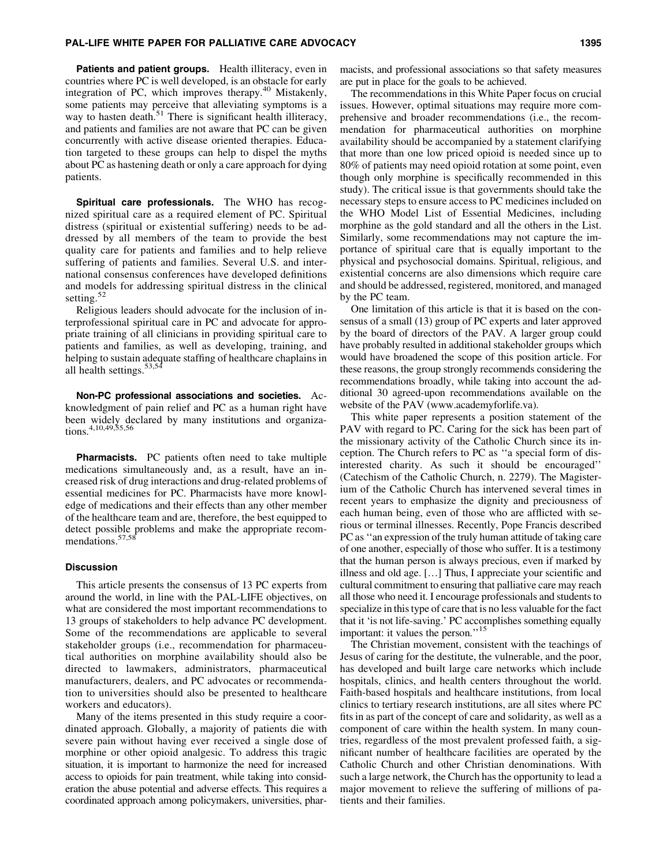Patients and patient groups. Health illiteracy, even in countries where PC is well developed, is an obstacle for early integration of PC, which improves therapy. $40$  Mistakenly, some patients may perceive that alleviating symptoms is a way to hasten death.<sup>51</sup> There is significant health illiteracy, and patients and families are not aware that PC can be given concurrently with active disease oriented therapies. Education targeted to these groups can help to dispel the myths about PC as hastening death or only a care approach for dying patients.

Spiritual care professionals. The WHO has recognized spiritual care as a required element of PC. Spiritual distress (spiritual or existential suffering) needs to be addressed by all members of the team to provide the best quality care for patients and families and to help relieve suffering of patients and families. Several U.S. and international consensus conferences have developed definitions and models for addressing spiritual distress in the clinical setting.<sup>52</sup>

Religious leaders should advocate for the inclusion of interprofessional spiritual care in PC and advocate for appropriate training of all clinicians in providing spiritual care to patients and families, as well as developing, training, and helping to sustain adequate staffing of healthcare chaplains in all health settings.  $53,54$ 

Non-PC professional associations and societies. Acknowledgment of pain relief and PC as a human right have been widely declared by many institutions and organizations.4,10,49,55,56

Pharmacists. PC patients often need to take multiple medications simultaneously and, as a result, have an increased risk of drug interactions and drug-related problems of essential medicines for PC. Pharmacists have more knowledge of medications and their effects than any other member of the healthcare team and are, therefore, the best equipped to detect possible problems and make the appropriate recommendations.57,58

#### **Discussion**

This article presents the consensus of 13 PC experts from around the world, in line with the PAL-LIFE objectives, on what are considered the most important recommendations to 13 groups of stakeholders to help advance PC development. Some of the recommendations are applicable to several stakeholder groups (i.e., recommendation for pharmaceutical authorities on morphine availability should also be directed to lawmakers, administrators, pharmaceutical manufacturers, dealers, and PC advocates or recommendation to universities should also be presented to healthcare workers and educators).

Many of the items presented in this study require a coordinated approach. Globally, a majority of patients die with severe pain without having ever received a single dose of morphine or other opioid analgesic. To address this tragic situation, it is important to harmonize the need for increased access to opioids for pain treatment, while taking into consideration the abuse potential and adverse effects. This requires a coordinated approach among policymakers, universities, pharmacists, and professional associations so that safety measures are put in place for the goals to be achieved.

The recommendations in this White Paper focus on crucial issues. However, optimal situations may require more comprehensive and broader recommendations (i.e., the recommendation for pharmaceutical authorities on morphine availability should be accompanied by a statement clarifying that more than one low priced opioid is needed since up to 80% of patients may need opioid rotation at some point, even though only morphine is specifically recommended in this study). The critical issue is that governments should take the necessary steps to ensure access to PC medicines included on the WHO Model List of Essential Medicines, including morphine as the gold standard and all the others in the List. Similarly, some recommendations may not capture the importance of spiritual care that is equally important to the physical and psychosocial domains. Spiritual, religious, and existential concerns are also dimensions which require care and should be addressed, registered, monitored, and managed by the PC team.

One limitation of this article is that it is based on the consensus of a small (13) group of PC experts and later approved by the board of directors of the PAV. A larger group could have probably resulted in additional stakeholder groups which would have broadened the scope of this position article. For these reasons, the group strongly recommends considering the recommendations broadly, while taking into account the additional 30 agreed-upon recommendations available on the website of the PAV (www.academyforlife.va).

This white paper represents a position statement of the PAV with regard to PC. Caring for the sick has been part of the missionary activity of the Catholic Church since its inception. The Church refers to PC as ''a special form of disinterested charity. As such it should be encouraged'' (Catechism of the Catholic Church, n. 2279). The Magisterium of the Catholic Church has intervened several times in recent years to emphasize the dignity and preciousness of each human being, even of those who are afflicted with serious or terminal illnesses. Recently, Pope Francis described PC as ''an expression of the truly human attitude of taking care of one another, especially of those who suffer. It is a testimony that the human person is always precious, even if marked by illness and old age. [...] Thus, I appreciate your scientific and cultural commitment to ensuring that palliative care may reach all those who need it. I encourage professionals and students to specialize in this type of care that is no less valuable for the fact that it 'is not life-saving.' PC accomplishes something equally important: it values the person."<sup>15</sup>

The Christian movement, consistent with the teachings of Jesus of caring for the destitute, the vulnerable, and the poor, has developed and built large care networks which include hospitals, clinics, and health centers throughout the world. Faith-based hospitals and healthcare institutions, from local clinics to tertiary research institutions, are all sites where PC fits in as part of the concept of care and solidarity, as well as a component of care within the health system. In many countries, regardless of the most prevalent professed faith, a significant number of healthcare facilities are operated by the Catholic Church and other Christian denominations. With such a large network, the Church has the opportunity to lead a major movement to relieve the suffering of millions of patients and their families.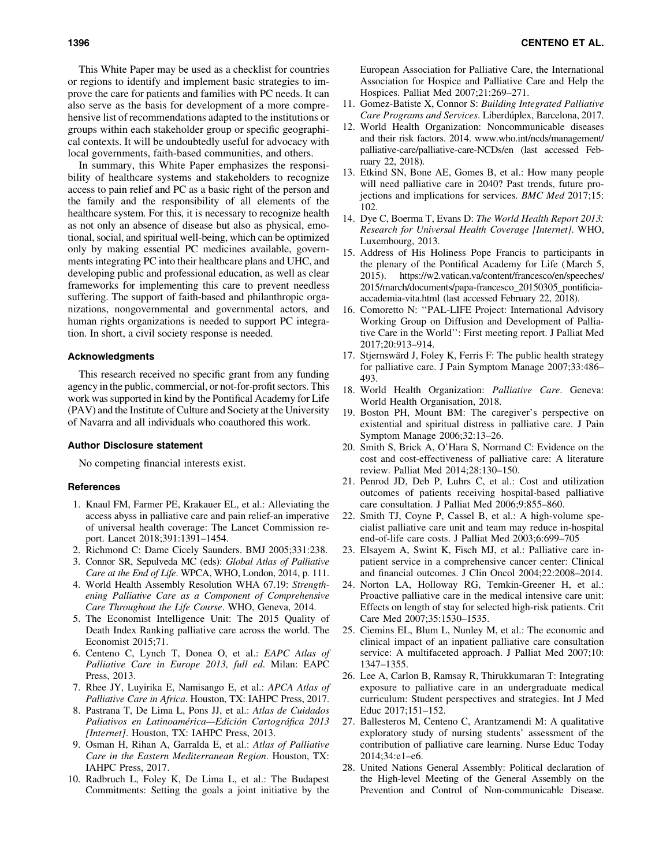This White Paper may be used as a checklist for countries or regions to identify and implement basic strategies to improve the care for patients and families with PC needs. It can also serve as the basis for development of a more comprehensive list of recommendations adapted to the institutions or groups within each stakeholder group or specific geographical contexts. It will be undoubtedly useful for advocacy with local governments, faith-based communities, and others.

In summary, this White Paper emphasizes the responsibility of healthcare systems and stakeholders to recognize access to pain relief and PC as a basic right of the person and the family and the responsibility of all elements of the healthcare system. For this, it is necessary to recognize health as not only an absence of disease but also as physical, emotional, social, and spiritual well-being, which can be optimized only by making essential PC medicines available, governments integrating PC into their healthcare plans and UHC, and developing public and professional education, as well as clear frameworks for implementing this care to prevent needless suffering. The support of faith-based and philanthropic organizations, nongovernmental and governmental actors, and human rights organizations is needed to support PC integration. In short, a civil society response is needed.

#### Acknowledgments

This research received no specific grant from any funding agency in the public, commercial, or not-for-profit sectors. This work was supported in kind by the Pontifical Academy for Life (PAV) and the Institute of Culture and Society at the University of Navarra and all individuals who coauthored this work.

#### Author Disclosure statement

No competing financial interests exist.

## **References**

- 1. Knaul FM, Farmer PE, Krakauer EL, et al.: Alleviating the access abyss in palliative care and pain relief-an imperative of universal health coverage: The Lancet Commission report. Lancet 2018;391:1391–1454.
- 2. Richmond C: Dame Cicely Saunders. BMJ 2005;331:238.
- 3. Connor SR, Sepulveda MC (eds): *Global Atlas of Palliative Care at the End of Life*. WPCA, WHO, London, 2014, p. 111.
- 4. World Health Assembly Resolution WHA 67.19: *Strengthening Palliative Care as a Component of Comprehensive Care Throughout the Life Course*. WHO, Geneva, 2014.
- 5. The Economist Intelligence Unit: The 2015 Quality of Death Index Ranking palliative care across the world. The Economist 2015;71.
- 6. Centeno C, Lynch T, Donea O, et al.: *EAPC Atlas of Palliative Care in Europe 2013, full ed*. Milan: EAPC Press, 2013.
- 7. Rhee JY, Luyirika E, Namisango E, et al.: *APCA Atlas of Palliative Care in Africa*. Houston, TX: IAHPC Press, 2017.
- 8. Pastrana T, De Lima L, Pons JJ, et al.: *Atlas de Cuidados Paliativos en Latinoame´rica—Edicio´n Cartogra´fica 2013 [Internet]*. Houston, TX: IAHPC Press, 2013.
- 9. Osman H, Rihan A, Garralda E, et al.: *Atlas of Palliative Care in the Eastern Mediterranean Region*. Houston, TX: IAHPC Press, 2017.
- 10. Radbruch L, Foley K, De Lima L, et al.: The Budapest Commitments: Setting the goals a joint initiative by the

European Association for Palliative Care, the International Association for Hospice and Palliative Care and Help the Hospices. Palliat Med 2007;21:269–271.

- 11. Gomez-Batiste X, Connor S: *Building Integrated Palliative Care Programs and Services*. Liberdu´plex, Barcelona, 2017.
- 12. World Health Organization: Noncommunicable diseases and their risk factors. 2014. www.who.int/ncds/management/ palliative-care/palliative-care-NCDs/en (last accessed February 22, 2018).
- 13. Etkind SN, Bone AE, Gomes B, et al.: How many people will need palliative care in 2040? Past trends, future projections and implications for services. *BMC Med* 2017;15: 102.
- 14. Dye C, Boerma T, Evans D: *The World Health Report 2013: Research for Universal Health Coverage [Internet]*. WHO, Luxembourg, 2013.
- 15. Address of His Holiness Pope Francis to participants in the plenary of the Pontifical Academy for Life (March 5, 2015). https://w2.vatican.va/content/francesco/en/speeches/ 2015/march/documents/papa-francesco\_20150305\_pontificiaaccademia-vita.html (last accessed February 22, 2018).
- 16. Comoretto N: ''PAL-LIFE Project: International Advisory Working Group on Diffusion and Development of Palliative Care in the World'': First meeting report. J Palliat Med 2017;20:913–914.
- 17. Stjernswärd J, Foley K, Ferris F: The public health strategy for palliative care. J Pain Symptom Manage 2007;33:486– 493.
- 18. World Health Organization: *Palliative Care*. Geneva: World Health Organisation, 2018.
- 19. Boston PH, Mount BM: The caregiver's perspective on existential and spiritual distress in palliative care. J Pain Symptom Manage 2006;32:13–26.
- 20. Smith S, Brick A, O'Hara S, Normand C: Evidence on the cost and cost-effectiveness of palliative care: A literature review. Palliat Med 2014;28:130–150.
- 21. Penrod JD, Deb P, Luhrs C, et al.: Cost and utilization outcomes of patients receiving hospital-based palliative care consultation. J Palliat Med 2006;9:855–860.
- 22. Smith TJ, Coyne P, Cassel B, et al.: A high-volume specialist palliative care unit and team may reduce in-hospital end-of-life care costs. J Palliat Med 2003;6:699–705
- 23. Elsayem A, Swint K, Fisch MJ, et al.: Palliative care inpatient service in a comprehensive cancer center: Clinical and financial outcomes. J Clin Oncol 2004;22:2008–2014.
- 24. Norton LA, Holloway RG, Temkin-Greener H, et al.: Proactive palliative care in the medical intensive care unit: Effects on length of stay for selected high-risk patients. Crit Care Med 2007;35:1530–1535.
- 25. Ciemins EL, Blum L, Nunley M, et al.: The economic and clinical impact of an inpatient palliative care consultation service: A multifaceted approach. J Palliat Med 2007;10: 1347–1355.
- 26. Lee A, Carlon B, Ramsay R, Thirukkumaran T: Integrating exposure to palliative care in an undergraduate medical curriculum: Student perspectives and strategies. Int J Med Educ 2017;151–152.
- 27. Ballesteros M, Centeno C, Arantzamendi M: A qualitative exploratory study of nursing students' assessment of the contribution of palliative care learning. Nurse Educ Today 2014;34:e1–e6.
- 28. United Nations General Assembly: Political declaration of the High-level Meeting of the General Assembly on the Prevention and Control of Non-communicable Disease.